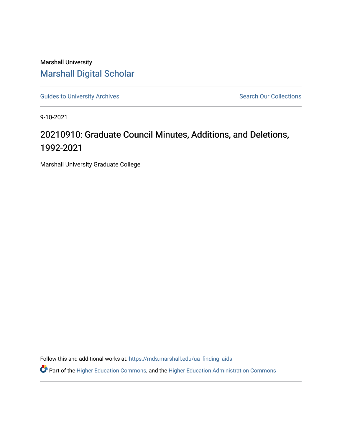Marshall University [Marshall Digital Scholar](https://mds.marshall.edu/)

[Guides to University Archives](https://mds.marshall.edu/ua_finding_aids) **Search Our Collections** Search Our Collections

9-10-2021

## 20210910: Graduate Council Minutes, Additions, and Deletions, 1992-2021

Marshall University Graduate College

Follow this and additional works at: [https://mds.marshall.edu/ua\\_finding\\_aids](https://mds.marshall.edu/ua_finding_aids?utm_source=mds.marshall.edu%2Fua_finding_aids%2F75&utm_medium=PDF&utm_campaign=PDFCoverPages) 

Part of the [Higher Education Commons,](http://network.bepress.com/hgg/discipline/1245?utm_source=mds.marshall.edu%2Fua_finding_aids%2F75&utm_medium=PDF&utm_campaign=PDFCoverPages) and the [Higher Education Administration Commons](http://network.bepress.com/hgg/discipline/791?utm_source=mds.marshall.edu%2Fua_finding_aids%2F75&utm_medium=PDF&utm_campaign=PDFCoverPages)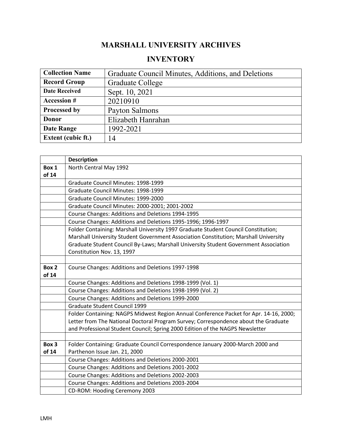## **MARSHALL UNIVERSITY ARCHIVES**

## **INVENTORY**

| <b>Collection Name</b>    | Graduate Council Minutes, Additions, and Deletions |
|---------------------------|----------------------------------------------------|
| <b>Record Group</b>       | Graduate College                                   |
| <b>Date Received</b>      | Sept. 10, 2021                                     |
| <b>Accession #</b>        | 20210910                                           |
| Processed by              | Payton Salmons                                     |
| Donor                     | Elizabeth Hanrahan                                 |
| <b>Date Range</b>         | 1992-2021                                          |
| <b>Extent (cubic ft.)</b> | 14                                                 |

|       | <b>Description</b>                                                                     |
|-------|----------------------------------------------------------------------------------------|
| Box 1 | North Central May 1992                                                                 |
| of 14 |                                                                                        |
|       | Graduate Council Minutes: 1998-1999                                                    |
|       | Graduate Council Minutes: 1998-1999                                                    |
|       | Graduate Council Minutes: 1999-2000                                                    |
|       | Graduate Council Minutes: 2000-2001; 2001-2002                                         |
|       | Course Changes: Additions and Deletions 1994-1995                                      |
|       | Course Changes: Additions and Deletions 1995-1996; 1996-1997                           |
|       | Folder Containing: Marshall University 1997 Graduate Student Council Constitution;     |
|       | Marshall University Student Government Association Constitution; Marshall University   |
|       | Graduate Student Council By-Laws; Marshall University Student Government Association   |
|       | Constitution Nov. 13, 1997                                                             |
|       |                                                                                        |
| Box 2 | Course Changes: Additions and Deletions 1997-1998                                      |
| of 14 |                                                                                        |
|       | Course Changes: Additions and Deletions 1998-1999 (Vol. 1)                             |
|       | Course Changes: Additions and Deletions 1998-1999 (Vol. 2)                             |
|       | Course Changes: Additions and Deletions 1999-2000                                      |
|       | <b>Graduate Student Council 1999</b>                                                   |
|       | Folder Containing: NAGPS Midwest Region Annual Conference Packet for Apr. 14-16, 2000; |
|       | Letter from The National Doctoral Program Survey; Correspondence about the Graduate    |
|       | and Professional Student Council; Spring 2000 Edition of the NAGPS Newsletter          |
|       |                                                                                        |
| Box 3 | Folder Containing: Graduate Council Correspondence January 2000-March 2000 and         |
| of 14 | Parthenon Issue Jan. 21, 2000                                                          |
|       | Course Changes: Additions and Deletions 2000-2001                                      |
|       | Course Changes: Additions and Deletions 2001-2002                                      |
|       | Course Changes: Additions and Deletions 2002-2003                                      |
|       | Course Changes: Additions and Deletions 2003-2004                                      |
|       | CD-ROM: Hooding Ceremony 2003                                                          |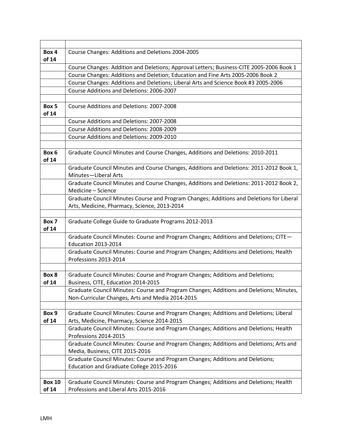| Box 4                  | Course Changes: Additions and Deletions 2004-2005                                                                               |
|------------------------|---------------------------------------------------------------------------------------------------------------------------------|
| of 14                  |                                                                                                                                 |
|                        | Course Changes: Addition and Deletions; Approval Letters; Business-CITE 2005-2006 Book 1                                        |
|                        | Course Changes: Additions and Deletion; Education and Fine Arts 2005-2006 Book 2                                                |
|                        | Course Changes: Additions and Deletions; Liberal Arts and Science Book #3 2005-2006                                             |
|                        | Course Additions and Deletions: 2006-2007                                                                                       |
|                        |                                                                                                                                 |
| Box 5<br>of 14         | Course Additions and Deletions: 2007-2008                                                                                       |
|                        | Course Additions and Deletions: 2007-2008                                                                                       |
|                        | Course Additions and Deletions: 2008-2009                                                                                       |
|                        | Course Additions and Deletions: 2009-2010                                                                                       |
|                        |                                                                                                                                 |
| Box 6<br>of 14         | Graduate Council Minutes and Course Changes, Additions and Deletions: 2010-2011                                                 |
|                        | Graduate Council Minutes and Course Changes, Additions and Deletions: 2011-2012 Book 1,<br>Minutes-Liberal Arts                 |
|                        | Graduate Council Minutes and Course Changes, Additions and Deletions: 2011-2012 Book 2,                                         |
|                        | Medicine - Science                                                                                                              |
|                        | Graduate Council Minutes Course and Program Changes; Additions and Deletions for Liberal                                        |
|                        | Arts, Medicine, Pharmacy, Science, 2013-2014                                                                                    |
|                        |                                                                                                                                 |
|                        |                                                                                                                                 |
| Box 7<br>of 14         | Graduate College Guide to Graduate Programs 2012-2013                                                                           |
|                        | Graduate Council Minutes: Course and Program Changes; Additions and Deletions; CITE-<br><b>Education 2013-2014</b>              |
|                        | Graduate Council Minutes: Course and Program Changes; Additions and Deletions; Health<br>Professions 2013-2014                  |
|                        |                                                                                                                                 |
| Box 8                  | Graduate Council Minutes: Course and Program Changes; Additions and Deletions;                                                  |
| of 14                  | Business, CITE, Education 2014-2015                                                                                             |
|                        | Graduate Council Minutes: Course and Program Changes; Additions and Deletions; Minutes,                                         |
|                        | Non-Curricular Changes, Arts and Media 2014-2015                                                                                |
|                        |                                                                                                                                 |
| Box 9                  | Graduate Council Minutes: Course and Program Changes; Additions and Deletions; Liberal                                          |
| of 14                  | Arts, Medicine, Pharmacy, Science 2014-2015                                                                                     |
|                        | Graduate Council Minutes: Course and Program Changes; Additions and Deletions; Health<br>Professions 2014-2015                  |
|                        | Graduate Council Minutes: Course and Program Changes; Additions and Deletions; Arts and                                         |
|                        | Media, Business, CITE 2015-2016                                                                                                 |
|                        | Graduate Council Minutes: Course and Program Changes; Additions and Deletions;                                                  |
|                        | Education and Graduate College 2015-2016                                                                                        |
|                        |                                                                                                                                 |
| <b>Box 10</b><br>of 14 | Graduate Council Minutes: Course and Program Changes; Additions and Deletions; Health<br>Professions and Liberal Arts 2015-2016 |